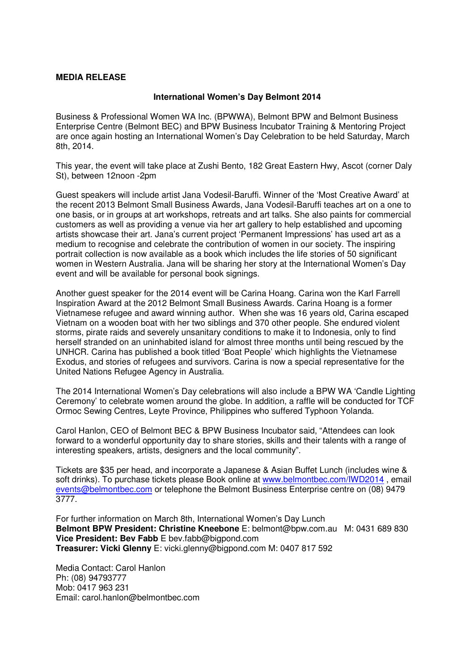## **MEDIA RELEASE**

## **International Women's Day Belmont 2014**

Business & Professional Women WA Inc. (BPWWA), Belmont BPW and Belmont Business Enterprise Centre (Belmont BEC) and BPW Business Incubator Training & Mentoring Project are once again hosting an International Women's Day Celebration to be held Saturday, March 8th, 2014.

This year, the event will take place at Zushi Bento, 182 Great Eastern Hwy, Ascot (corner Daly St), between 12noon -2pm

Guest speakers will include artist Jana Vodesil-Baruffi. Winner of the 'Most Creative Award' at the recent 2013 Belmont Small Business Awards, Jana Vodesil-Baruffi teaches art on a one to one basis, or in groups at art workshops, retreats and art talks. She also paints for commercial customers as well as providing a venue via her art gallery to help established and upcoming artists showcase their art. Jana's current project 'Permanent Impressions' has used art as a medium to recognise and celebrate the contribution of women in our society. The inspiring portrait collection is now available as a book which includes the life stories of 50 significant women in Western Australia. Jana will be sharing her story at the International Women's Day event and will be available for personal book signings.

Another guest speaker for the 2014 event will be Carina Hoang. Carina won the Karl Farrell Inspiration Award at the 2012 Belmont Small Business Awards. Carina Hoang is a former Vietnamese refugee and award winning author. When she was 16 years old, Carina escaped Vietnam on a wooden boat with her two siblings and 370 other people. She endured violent storms, pirate raids and severely unsanitary conditions to make it to Indonesia, only to find herself stranded on an uninhabited island for almost three months until being rescued by the UNHCR. Carina has published a book titled 'Boat People' which highlights the Vietnamese Exodus, and stories of refugees and survivors. Carina is now a special representative for the United Nations Refugee Agency in Australia.

The 2014 International Women's Day celebrations will also include a BPW WA 'Candle Lighting Ceremony' to celebrate women around the globe. In addition, a raffle will be conducted for TCF Ormoc Sewing Centres, Leyte Province, Philippines who suffered Typhoon Yolanda.

Carol Hanlon, CEO of Belmont BEC & BPW Business Incubator said, "Attendees can look forward to a wonderful opportunity day to share stories, skills and their talents with a range of interesting speakers, artists, designers and the local community".

Tickets are \$35 per head, and incorporate a Japanese & Asian Buffet Lunch (includes wine & soft drinks). To purchase tickets please Book online at www.belmontbec.com/IWD2014 , email events@belmontbec.com or telephone the Belmont Business Enterprise centre on (08) 9479 3777.

For further information on March 8th, International Women's Day Lunch **Belmont BPW President: Christine Kneebone** E: belmont@bpw.com.au M: 0431 689 830 **Vice President: Bev Fabb** E bev.fabb@bigpond.com **Treasurer: Vicki Glenny** E: vicki.glenny@bigpond.com M: 0407 817 592

Media Contact: Carol Hanlon Ph: (08) 94793777 Mob: 0417 963 231 Email: carol.hanlon@belmontbec.com